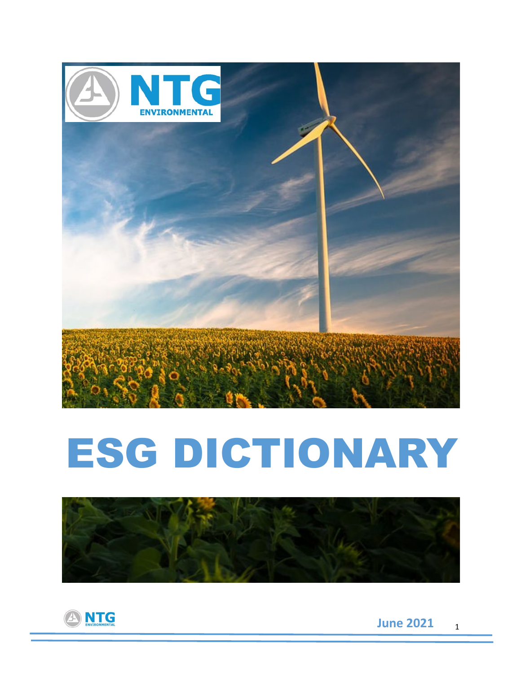

# ESG DICTIONARY



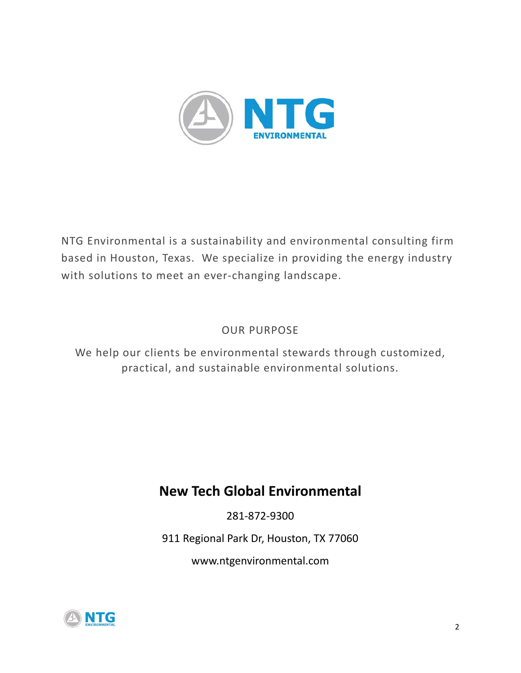

NTG Environmental is a sustainability and environmental consulting firm based in Houston, Texas. We specialize in providing the energy industry with solutions to meet an ever-changing landscape.

#### OUR PURPOSE

We help our clients be environmental stewards through customized, practical, and sustainable environmental solutions.

### **New Tech Global Environmental**

281-872-9300

911 Regional Park Dr, Houston, TX 77060

www.ntgenvironmental.com

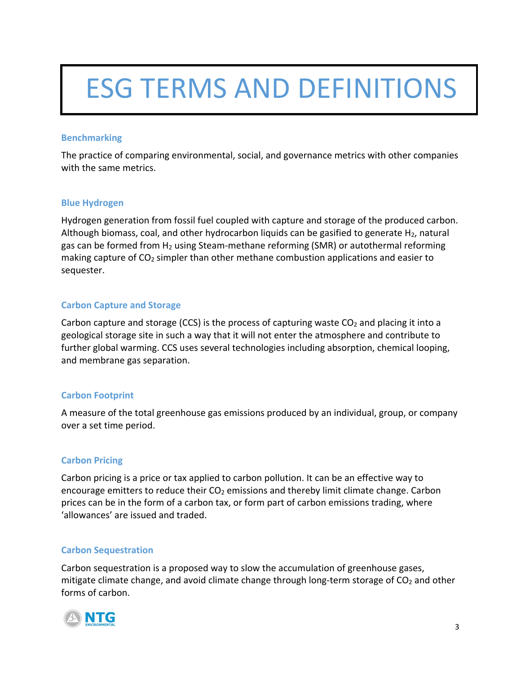## ESG TERMS AND DEFINITIONS

#### **Benchmarking**

The practice of comparing environmental, social, and governance metrics with other companies with the same metrics.

#### **Blue Hydrogen**

Hydrogen generation from fossil fuel coupled with capture and storage of the produced carbon. Although biomass, coal, and other hydrocarbon liquids can be gasified to generate  $H_2$ , natural gas can be formed from  $H_2$  using Steam-methane reforming (SMR) or autothermal reforming making capture of  $CO<sub>2</sub>$  simpler than other methane combustion applications and easier to sequester.

#### **Carbon Capture and Storage**

Carbon capture and storage (CCS) is the process of capturing waste  $CO<sub>2</sub>$  and placing it into a geological storage site in such a way that it will not enter the atmosphere and contribute to further [global warming.](https://www.robeco.com/en/key-strengths/sustainable-investing/glossary/global-warming.html) CCS uses several technologies including absorption, chemical looping, and membrane gas separation.

#### **Carbon Footprint**

A measure of the total greenhouse gas emissions produced by an individual, group, or company over a set time period.

#### **Carbon Pricing**

Carbon pricing is a price or tax applied to carbon pollution. It can be an effective way to encourage emitters to reduce their  $CO<sub>2</sub>$  emissions and thereby limit climate change. Carbon prices can be in the form of a carbon tax, or form part of carbon emissions trading, where 'allowances' are issued and traded.

#### **Carbon Sequestration**

Carbon sequestration is a proposed way to slow the accumulation of greenhouse gases, mitigate climate change, and avoid climate change through long-term storage of  $CO<sub>2</sub>$  and other forms of carbon.

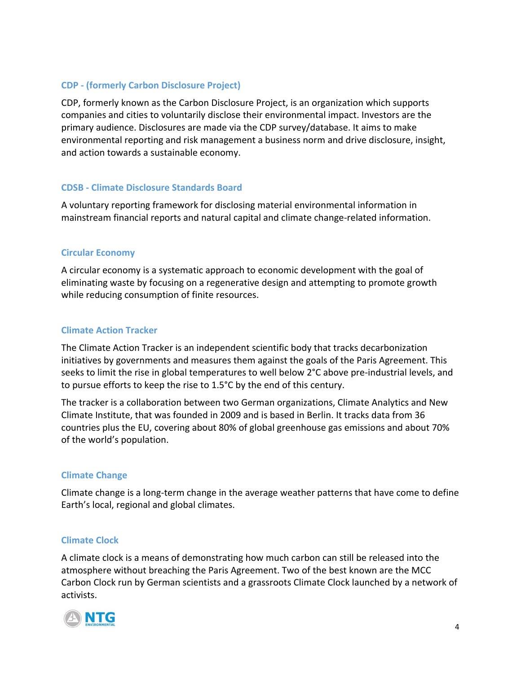#### **CDP - (formerly Carbon Disclosure Project)**

CDP, formerly known as the Carbon Disclosure Project, is an organization which supports companies and cities to voluntarily disclose their environmental impact. Investors are the primary audience. Disclosures are made via the CDP survey/database. It aims to make environmental reporting and risk management a business norm and drive disclosure, insight, and action towards a sustainable economy.

#### **CDSB - Climate Disclosure Standards Board**

A voluntary reporting framework for disclosing material environmental information in mainstream financial reports and natural capital and climate change-related information.

#### **Circular Economy**

A circular economy is a systematic approach to economic development with the goal of eliminating waste by focusing on a regenerative design and attempting to promote growth while reducing consumption of finite resources.

#### **Climate Action Tracker**

The Climate Action Tracker is an independent scientific body that tracks decarbonization initiatives by governments and measures them against the goals of the Paris Agreement. This seeks to limit the rise in global temperatures to well below 2°C above pre-industrial levels, and to pursue efforts to keep the rise to 1.5°C by the end of this century.

The tracker is a collaboration between two German organizations, Climate Analytics and New Climate Institute, that was founded in 2009 and is based in Berlin. It tracks data from 36 countries plus the EU, covering about 80% of global greenhouse gas emissions and about 70% of the world's population.

#### **Climate Change**

Climate change is a long-term change in the average weather patterns that have come to define Earth's local, regional and global climates.

#### **Climate Clock**

A climate clock is a means of demonstrating how much carbon can still be released into the atmosphere without breaching the Paris Agreement. Two of the best known are the MCC Carbon Clock run by German scientists and a grassroots Climate Clock launched by a network of activists.

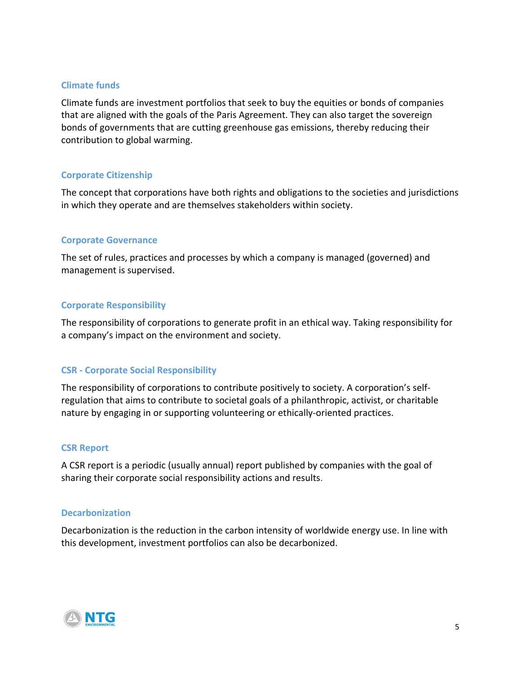#### **Climate funds**

Climate funds are investment portfolios that seek to buy the equities or bonds of companies that are aligned with the goals of the Paris Agreement. They can also target the sovereign bonds of governments that are cutting [greenhouse gas emissions,](https://www.robeco.com/en/key-strengths/sustainable-investing/glossary/greenhouse-gas-emissions.html) thereby reducing their contribution to [global warming.](https://www.robeco.com/en/key-strengths/sustainable-investing/glossary/global-warming.html)

#### **Corporate Citizenship**

The concept that corporations have both rights and obligations to the societies and jurisdictions in which they operate and are themselves stakeholders within society.

#### **Corporate Governance**

The set of rules, practices and processes by which a company is managed (governed) and management is supervised.

#### **Corporate Responsibility**

The responsibility of corporations to generate profit in an ethical way. Taking responsibility for a company's impact on the environment and society.

#### **CSR - Corporate Social Responsibility**

The responsibility of corporations to contribute positively to society. A corporation's selfregulation that aims to contribute to societal goals of a philanthropic, activist, or charitable nature by engaging in or supporting volunteering or ethically-oriented practices.

#### **CSR Report**

A CSR report is a periodic (usually annual) report published by companies with the goal of sharing their corporate social responsibility actions and results.

#### **Decarbonization**

Decarbonization is the reduction in the carbon intensity of worldwide energy use. In line with this development, investment portfolios can also be decarbonized.

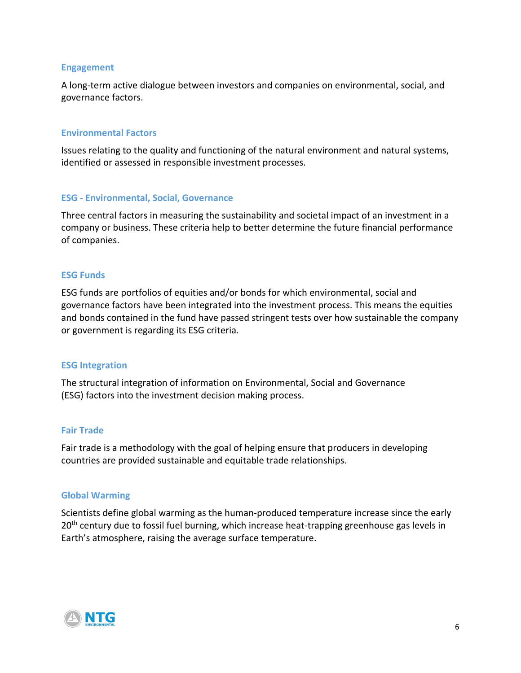#### **Engagement**

A long-term active dialogue between investors and companies on environmental, social, and governance factors.

#### **Environmental Factors**

Issues relating to the quality and functioning of the natural environment and natural systems, identified or assessed in responsible investment processes.

#### **ESG - Environmental, Social, Governance**

Three central factors in measuring the sustainability and societal impact of an investment in a company or business. These criteria help to better determine the future financial performance of companies.

#### **ESG Funds**

ESG funds are portfolios of equities and/or bonds for which environmental, social and governance factors have been integrated into the investment process. This means the equities and bonds contained in the fund have passed stringent tests over how [sustainable](https://www.robeco.com/en/key-strengths/sustainable-investing/glossary/sustainability-investing.html) the company or government is regarding its ESG criteria.

#### **ESG Integration**

The structural integration of information on [Environmental, Social and Governance](https://www.robeco.com/en/themes/esg/)  [\(ESG\)](https://www.robeco.com/en/themes/esg/) factors into the investment decision making process.

#### **Fair Trade**

Fair trade is a methodology with the goal of helping ensure that producers in developing countries are provided sustainable and equitable trade relationships.

#### **Global Warming**

Scientists define global warming as the human-produced temperature increase since the early 20<sup>th</sup> century due to fossil fuel burning, which increase heat-trapping greenhouse gas levels in Earth's atmosphere, raising the average surface temperature.

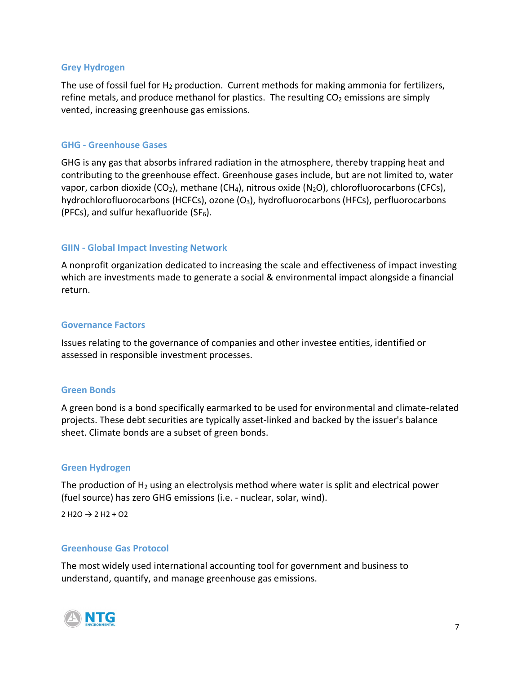#### **Grey Hydrogen**

The use of fossil fuel for  $H_2$  production. Current methods for making ammonia for fertilizers, refine metals, and produce methanol for plastics. The resulting  $CO<sub>2</sub>$  emissions are simply vented, increasing greenhouse gas emissions.

#### **GHG - Greenhouse Gases**

GHG is any gas that absorbs infrared radiation in the atmosphere, thereby trapping heat and contributing to the greenhouse effect. Greenhouse gases include, but are not limited to, water vapor, carbon dioxide (CO<sub>2</sub>), methane (CH<sub>4</sub>), nitrous oxide (N<sub>2</sub>O), chlorofluorocarbons (CFCs), hydrochlorofluorocarbons (HCFCs), ozone  $(O_3)$ , hydrofluorocarbons (HFCs), perfluorocarbons (PFCs), and sulfur hexafluoride (SF $_6$ ).

#### **GIIN - Global Impact Investing Network**

A nonprofit organization dedicated to increasing the scale and effectiveness of impact investing which are investments made to generate a social & environmental impact alongside a financial return.

#### **Governance Factors**

Issues relating to the governance of companies and other investee entities, identified or assessed in responsible investment processes.

#### **Green Bonds**

A green bond is a bond specifically earmarked to be used for environmental and climate-related projects. These debt securities are typically asset-linked and backed by the issuer's balance sheet. Climate bonds are a subset of green bonds.

#### **Green Hydrogen**

The production of  $H_2$  using an electrolysis method where water is split and electrical power (fuel source) has zero GHG emissions (i.e. - nuclear, solar, wind).

 $2 H2O \rightarrow 2 H2 + O2$ 

#### **Greenhouse Gas Protocol**

The most widely used international accounting tool for government and business to understand, quantify, and manage greenhouse gas emissions.

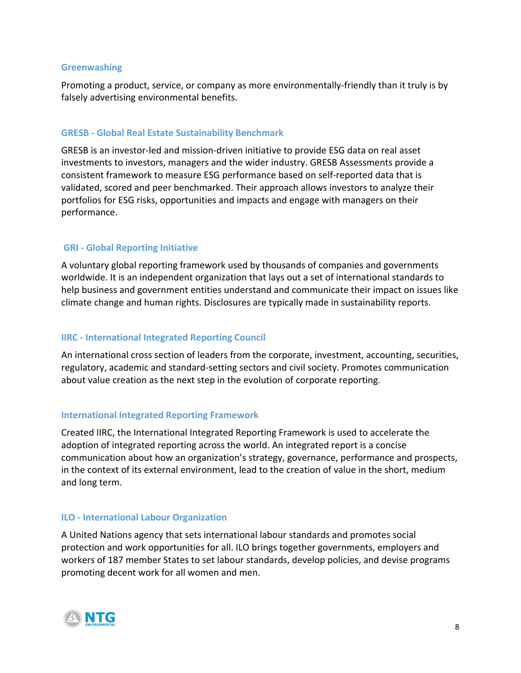#### **Greenwashing**

Promoting a product, service, or company as more environmentally-friendly than it truly is by falsely advertising environmental benefits.

#### **GRESB - Global Real Estate Sustainability Benchmark**

GRESB is an investor-led and mission-driven initiative to provide ESG data on real asset investments to investors, managers and the wider industry. GRESB Assessments provide a consistent framework to measure ESG performance based on self-reported data that is validated, scored and peer benchmarked. Their approach allows investors to analyze their portfolios for ESG risks, opportunities and impacts and engage with managers on their performance.

#### **GRI - Global Reporting Initiative**

A voluntary global reporting framework used by thousands of companies and governments worldwide. It is an independent organization that lays out a set of international standards to help business and government entities understand and communicate their impact on issues like climate change and human rights. Disclosures are typically made in sustainability reports.

#### **IIRC - International Integrated Reporting Council**

An international cross section of leaders from the corporate, investment, accounting, securities, regulatory, academic and standard-setting sectors and civil society. Promotes communication about value creation as the next step in the evolution of corporate reporting.

#### **International Integrated Reporting Framework**

Created IIRC, the International Integrated Reporting Framework is used to accelerate the adoption of integrated reporting across the world. An integrated report is a concise communication about how an organization's strategy, governance, performance and prospects, in the context of its external environment, lead to the creation of value in the short, medium and long term.

#### **ILO - International Labour Organization**

A United Nations agency that sets international labour standards and promotes social protection and work opportunities for all. ILO brings together governments, employers and workers of 187 member States to set labour standards, develop policies, and devise programs promoting decent work for all women and men.

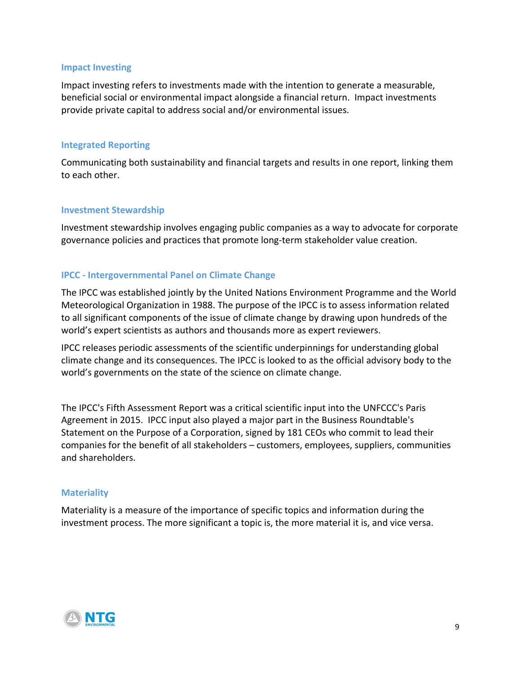#### **Impact Investing**

Impact investing refers to investments made with the intention to generate a measurable, beneficial social or environmental impact alongside a financial return. Impact investments provide private capital to address social and/or environmental issues.

#### **Integrated Reporting**

Communicating both [sustainability](https://www.robeco.com/en/key-strengths/sustainable-investing/glossary/sustainability-investing.html) and financial targets and results in one report, linking them to each other.

#### **Investment Stewardship**

Investment stewardship involves engaging public companies as a way to advocate for corporate governance policies and practices that promote long-term stakeholder value creation.

#### **IPCC - Intergovernmental Panel on Climate Change**

The IPCC was established jointly by the United Nations Environment Programme and the World Meteorological Organization in 1988. The purpose of the IPCC is to assess information related to all significant components of the issue of climate change by drawing upon hundreds of the world's expert scientists as authors and thousands more as expert reviewers.

IPCC releases periodic assessments of the scientific underpinnings for understanding global climate change and its consequences. The IPCC is looked to as the official advisory body to the world's governments on the state of the science on climate change.

The IPCC's Fifth Assessment Report was a critical scientific input into the UNFCCC's Paris Agreement in 2015. IPCC input also played a major part in the Business Roundtable's Statement on the Purpose of a Corporation, signed by 181 CEOs who commit to lead their companies for the benefit of all stakeholders – customers, employees, suppliers, communities and shareholders.

#### **Materiality**

Materiality is a measure of the importance of specific topics and information during the investment process. The more significant a topic is, the more material it is, and vice versa.

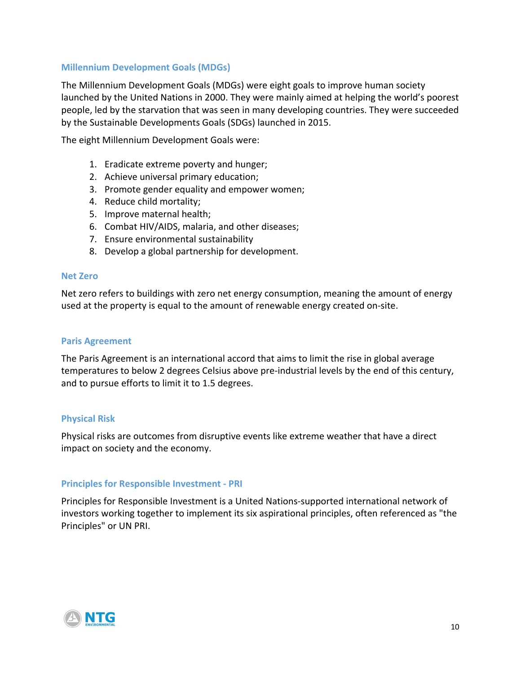#### **Millennium Development Goals (MDGs)**

The Millennium Development Goals (MDGs) were eight goals to improve human society launched by the United Nations in 2000. They were mainly aimed at helping the world's poorest people, led by the starvation that was seen in many developing countries. They were succeeded by the Sustainable Developments Goals (SDGs) launched in 2015.

The eight Millennium Development Goals were:

- 1. Eradicate extreme poverty and hunger;
- 2. Achieve universal primary education;
- 3. Promote gender equality and empower women;
- 4. Reduce child mortality;
- 5. Improve maternal health;
- 6. Combat HIV/AIDS, malaria, and other diseases;
- 7. Ensure environmental sustainability
- 8. Develop a global partnership for development.

#### **Net Zero**

Net zero refers to buildings with zero net energy consumption, meaning the amount of energy used at the property is equal to the amount of renewable energy created on-site.

#### **Paris Agreement**

The Paris Agreement is an international accord that aims to limit the rise in global average temperatures to below 2 degrees Celsius above pre-industrial levels by the end of this century, and to pursue efforts to limit it to 1.5 degrees.

#### **Physical Risk**

Physical risks are outcomes from disruptive events like extreme weather that have a direct impact on society and the economy.

#### **Principles for Responsible Investment - PRI**

Principles for Responsible Investment is a United Nations-supported international network of investors working together to implement its six aspirational principles, often referenced as "the Principles" or UN PRI.

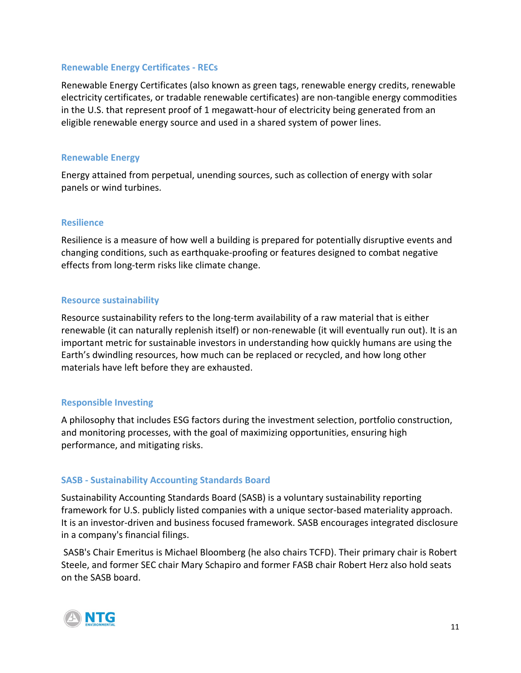#### **Renewable Energy Certificates - RECs**

Renewable Energy Certificates (also known as green tags, renewable energy credits, renewable electricity certificates, or tradable renewable certificates) are non-tangible energy commodities in the U.S. that represent proof of 1 megawatt-hour of electricity being generated from an eligible renewable energy source and used in a shared system of power lines.

#### **Renewable Energy**

Energy attained from perpetual, unending sources, such as collection of energy with solar panels or wind turbines.

#### **Resilience**

Resilience is a measure of how well a building is prepared for potentially disruptive events and changing conditions, such as earthquake-proofing or features designed to combat negative effects from long-term risks like climate change.

#### **Resource sustainability**

Resource sustainability refers to the long-term availability of a raw material that is either renewable (it can naturally replenish itself) or non-renewable (it will eventually run out). It is an important metric for sustainable investors in understanding how quickly humans are using the Earth's dwindling resources, how much can be replaced or recycled, and how long other materials have left before they are exhausted.

#### **Responsible Investing**

A philosophy that includes ESG factors during the investment selection, portfolio construction, and monitoring processes, with the goal of maximizing opportunities, ensuring high performance, and mitigating risks.

#### **SASB - Sustainability Accounting Standards Board**

Sustainability Accounting Standards Board (SASB) is a voluntary sustainability reporting framework for U.S. publicly listed companies with a unique sector-based materiality approach. It is an investor-driven and business focused framework. SASB encourages integrated disclosure in a company's financial filings.

SASB's Chair Emeritus is Michael Bloomberg (he also chairs TCFD). Their primary chair is Robert Steele, and former SEC chair Mary Schapiro and former FASB chair Robert Herz also hold seats on the SASB board.

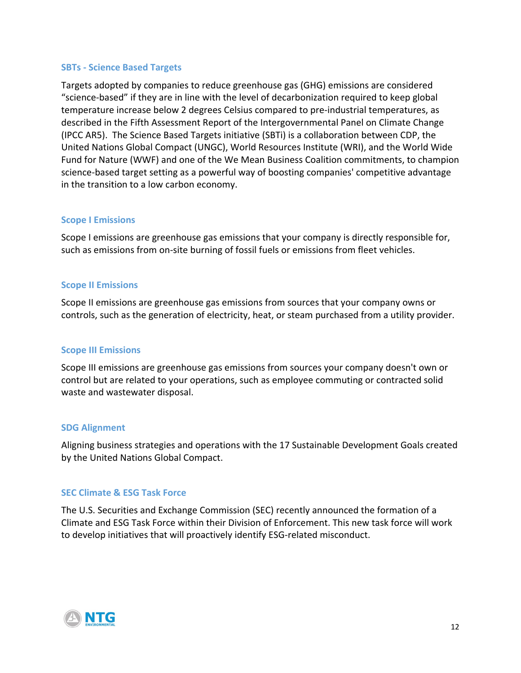#### **SBTs - Science Based Targets**

Targets adopted by companies to reduce greenhouse gas (GHG) emissions are considered "science-based" if they are in line with the level of decarbonization required to keep global temperature increase below 2 degrees Celsius compared to pre-industrial temperatures, as described in the Fifth Assessment Report of the Intergovernmental Panel on Climate Change (IPCC AR5). The Science Based Targets initiative (SBTi) is a collaboration between CDP, the United Nations Global Compact (UNGC), World Resources Institute (WRI), and the World Wide Fund for Nature (WWF) and one of the We Mean Business Coalition commitments, to champion science-based target setting as a powerful way of boosting companies' competitive advantage in the transition to a low carbon economy.

#### **Scope I Emissions**

Scope I emissions are greenhouse gas emissions that your company is directly responsible for, such as emissions from on-site burning of fossil fuels or emissions from fleet vehicles.

#### **Scope II Emissions**

Scope II emissions are greenhouse gas emissions from sources that your company owns or controls, such as the generation of electricity, heat, or steam purchased from a utility provider.

#### **Scope III Emissions**

Scope III emissions are greenhouse gas emissions from sources your company doesn't own or control but are related to your operations, such as employee commuting or contracted solid waste and wastewater disposal.

#### **SDG Alignment**

Aligning business strategies and operations with the 17 Sustainable Development Goals created by the United Nations Global Compact.

#### **SEC Climate & ESG Task Force**

The U.S. Securities and Exchange Commission (SEC) recently announced the formation of a Climate and ESG Task Force within their Division of Enforcement. This new task force will work to develop initiatives that will proactively identify ESG-related misconduct.

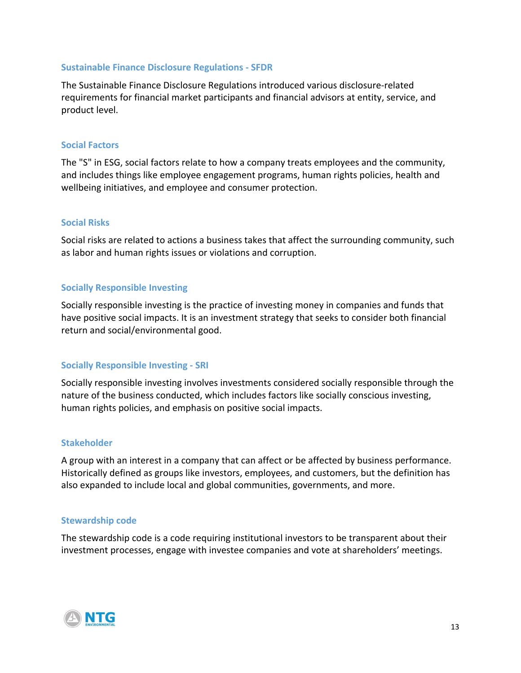#### **Sustainable Finance Disclosure Regulations - SFDR**

The Sustainable Finance Disclosure Regulations introduced various disclosure-related requirements for financial market participants and financial advisors at entity, service, and product level.

#### **Social Factors**

The "S" in ESG, social factors relate to how a company treats employees and the community, and includes things like employee engagement programs, human rights policies, health and wellbeing initiatives, and employee and consumer protection.

#### **Social Risks**

Social risks are related to actions a business takes that affect the surrounding community, such as labor and human rights issues or violations and corruption.

#### **Socially Responsible Investing**

Socially responsible investing is the practice of investing money in companies and funds that have positive social impacts. It is an investment strategy that seeks to consider both financial return and social/environmental good.

#### **Socially Responsible Investing - SRI**

Socially responsible investing involves investments considered socially responsible through the nature of the business conducted, which includes factors like socially conscious investing, human rights policies, and emphasis on positive social impacts.

#### **Stakeholder**

A group with an interest in a company that can affect or be affected by business performance. Historically defined as groups like investors, employees, and customers, but the definition has also expanded to include local and global communities, governments, and more.

#### **Stewardship code**

The stewardship code is a code requiring institutional investors to be transparent about their investment processes, [engage](https://www.robeco.com/en/key-strengths/sustainable-investing/glossary/engagement.html) with investee companies and [vote](https://www.robeco.com/en/key-strengths/sustainable-investing/glossary/voting.html) at shareholders' meetings.

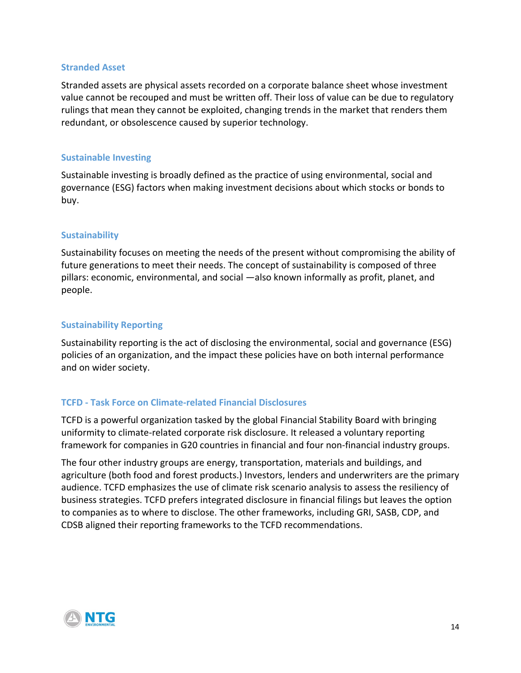#### **Stranded Asset**

Stranded assets are physical assets recorded on a corporate balance sheet whose investment value cannot be recouped and must be written off. Their loss of value can be due to regulatory rulings that mean they cannot be exploited, changing trends in the market that renders them redundant, or obsolescence caused by superior technology.

#### **Sustainable Investing**

Sustainable investing is broadly defined as the practice of using [environmental, social and](https://www.robeco.com/en/key-strengths/sustainable-investing/glossary/esg-definition.html)  [governance](https://www.robeco.com/en/key-strengths/sustainable-investing/glossary/esg-definition.html) (ESG) factors when making investment decisions about which stocks or bonds to buy.

#### **Sustainability**

Sustainability focuses on meeting the needs of the present without compromising the ability of future generations to meet their needs. The concept of sustainability is composed of three pillars: economic, environmental, and social —also known informally as profit, planet, and people.

#### **Sustainability Reporting**

Sustainability reporting is the act of disclosing the [environmental, social and governance](https://www.robeco.com/en/key-strengths/sustainable-investing/glossary/esg-definition.html) (ESG) policies of an organization, and the impact these policies have on both internal performance and on wider society.

#### **TCFD - Task Force on Climate-related Financial Disclosures**

TCFD is a powerful organization tasked by the global Financial Stability Board with bringing uniformity to climate-related corporate risk disclosure. It released a voluntary reporting framework for companies in G20 countries in financial and four non-financial industry groups.

The four other industry groups are energy, transportation, materials and buildings, and agriculture (both food and forest products.) Investors, lenders and underwriters are the primary audience. TCFD emphasizes the use of climate risk scenario analysis to assess the resiliency of business strategies. TCFD prefers integrated disclosure in financial filings but leaves the option to companies as to where to disclose. The other frameworks, including GRI, SASB, CDP, and CDSB aligned their reporting frameworks to the TCFD recommendations.

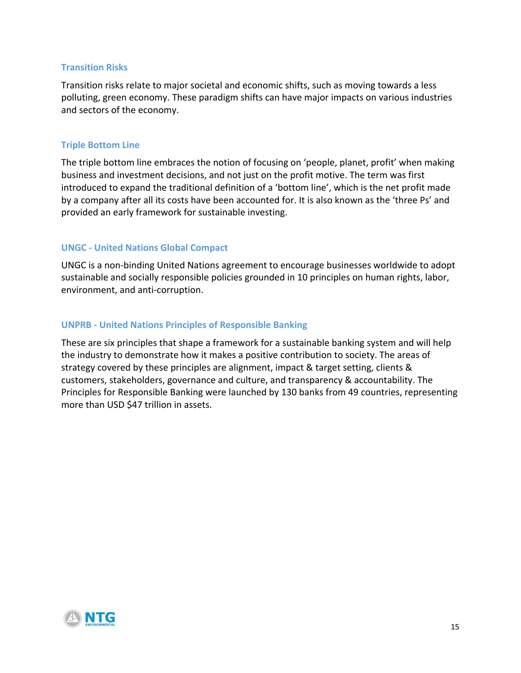#### **Transition Risks**

Transition risks relate to major societal and economic shifts, such as moving towards a less polluting, green economy. These paradigm shifts can have major impacts on various industries and sectors of the economy.

#### **Triple Bottom Line**

The triple bottom line embraces the notion of focusing on 'people, planet, profit' when making business and investment decisions, and not just on the profit motive. The term was first introduced to expand the traditional definition of a 'bottom line', which is the net profit made by a company after all its costs have been accounted for. It is also known as the 'three Ps' and provided an early framework for sustainable investing.

#### **UNGC - United Nations Global Compact**

UNGC is a non-binding United Nations agreement to encourage businesses worldwide to adopt sustainable and socially responsible policies grounded in 10 principles on human rights, labor, environment, and anti-corruption.

#### **UNPRB - United Nations Principles of Responsible Banking**

These are six principles that shape a framework for a sustainable banking system and will help the industry to demonstrate how it makes a positive contribution to society. The areas of strategy covered by these principles are alignment, impact & target setting, clients & customers, stakeholders, governance and culture, and transparency & accountability. The Principles for Responsible Banking were launched by 130 banks from 49 countries, representing more than USD \$47 trillion in assets.

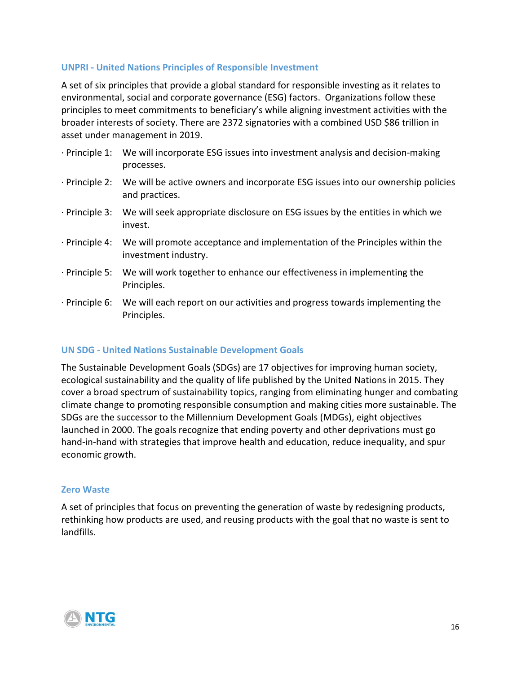#### **UNPRI - United Nations Principles of Responsible Investment**

A set of six principles that provide a global standard for responsible investing as it relates to environmental, social and corporate governance (ESG) factors. Organizations follow these principles to meet commitments to beneficiary's while aligning investment activities with the broader interests of society. There are 2372 signatories with a combined USD \$86 trillion in asset under management in 2019.

- · Principle 1: We will incorporate ESG issues into investment analysis and decision-making processes.
- · Principle 2: We will be active owners and incorporate ESG issues into our ownership policies and practices.
- · Principle 3: We will seek appropriate disclosure on ESG issues by the entities in which we invest.
- · Principle 4: We will promote acceptance and implementation of the Principles within the investment industry.
- · Principle 5: We will work together to enhance our effectiveness in implementing the Principles.
- · Principle 6: We will each report on our activities and progress towards implementing the Principles.

#### **UN SDG - United Nations Sustainable Development Goals**

The Sustainable Development Goals (SDGs) are 17 objectives for improving human society, ecological sustainability and the quality of life published by the United Nations in 2015. They cover a broad spectrum of sustainability topics, ranging from eliminating hunger and combating climate change to promoting responsible consumption and making cities more sustainable. The SDGs are the successor to the Millennium Development Goals (MDGs), eight objectives launched in 2000. The goals recognize that ending poverty and other deprivations must go hand-in-hand with strategies that improve health and education, reduce inequality, and spur economic growth.

#### **Zero Waste**

A set of principles that focus on preventing the generation of waste by redesigning products, rethinking how products are used, and reusing products with the goal that no waste is sent to landfills.